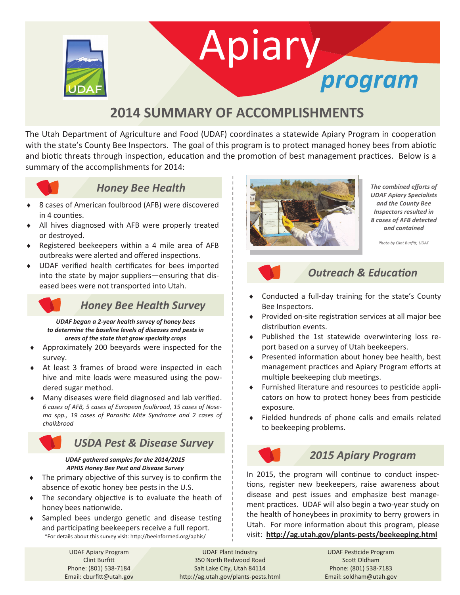

# Apiary *program*

## **2014 SUMMARY OF ACCOMPLISHMENTS**

The Utah Department of Agriculture and Food (UDAF) coordinates a statewide Apiary Program in cooperation with the state's County Bee Inspectors. The goal of this program is to protect managed honey bees from abiotic and biotic threats through inspection, education and the promotion of best management practices. Below is a summary of the accomplishments for 2014:



#### *Honey Bee Health*

- 8 cases of American foulbrood (AFB) were discovered in 4 counties.
- All hives diagnosed with AFB were properly treated or destroyed.
- Registered beekeepers within a 4 mile area of AFB outbreaks were alerted and offered inspections.
- UDAF verified health certificates for bees imported into the state by major suppliers—ensuring that diseased bees were not transported into Utah.

#### *Honey Bee Health Survey*

*UDAF began a 2-year health survey of honey bees to determine the baseline levels of diseases and pests in areas of the state that grow specialty crops*

- Approximately 200 beeyards were inspected for the survey.
- At least 3 frames of brood were inspected in each hive and mite loads were measured using the powdered sugar method.
- Many diseases were field diagnosed and lab verified. *6 cases of AFB, 5 cases of European foulbrood, 15 cases of Nosema spp., 19 cases of Parasitic Mite Syndrome and 2 cases of chalkbrood*

#### *USDA Pest & Disease Survey*

#### *UDAF gathered samples for the 2014/2015 APHIS Honey Bee Pest and Disease Survey*

- The primary objective of this survey is to confirm the absence of exotic honey bee pests in the U.S.
- The secondary objective is to evaluate the heath of honey bees nationwide.
- Sampled bees undergo genetic and disease testing and participating beekeepers receive a full report. \*For details about this survey visit: http://beeinformed.org/aphis/



*The combined efforts of UDAF Apiary Specialists and the County Bee Inspectors resulted in 8 cases of AFB detected and contained*

*Photo by Clint Burfitt, UDAF*

#### *Outreach & Education*

- Conducted a full-day training for the state's County Bee Inspectors.
- ◆ Provided on-site registration services at all major bee distribution events.
- Published the 1st statewide overwintering loss report based on a survey of Utah beekeepers.
- ◆ Presented information about honey bee health, best management practices and Apiary Program efforts at multiple beekeeping club meetings.
- Furnished literature and resources to pesticide applicators on how to protect honey bees from pesticide exposure.
- Fielded hundreds of phone calls and emails related to beekeeping problems.

### *2015 Apiary Program*

In 2015, the program will continue to conduct inspections, register new beekeepers, raise awareness about disease and pest issues and emphasize best management practices. UDAF will also begin a two-year study on the health of honeybees in proximity to berry growers in Utah. For more information about this program, please visit: **http://ag.utah.gov/plants-pests/beekeeping.html**

UDAF Apiary Program Clint Burfitt Phone: (801) 538-7184 Email: cburfitt@utah.gov

UDAF Plant Industry 350 North Redwood Road Salt Lake City, Utah 84114 http://ag.utah.gov/plants-pests.html

UDAF Pesticide Program Scott Oldham Phone: (801) 538-7183 Email: soldham@utah.gov